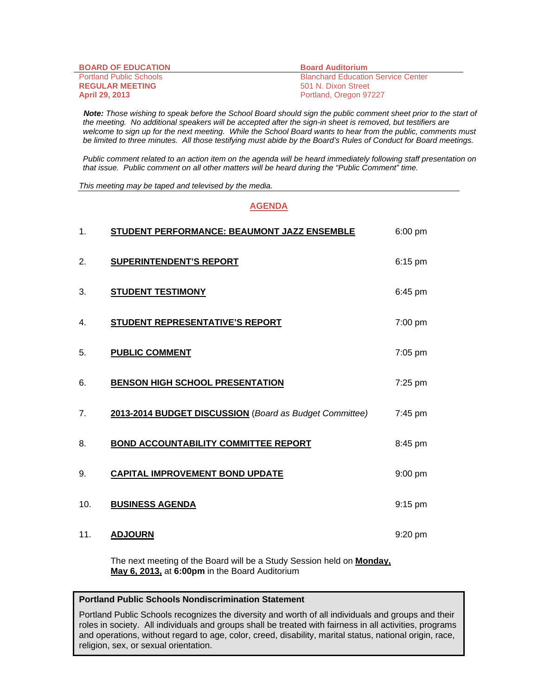| <b>BOARD OF EDUCATION</b>      | <b>Board Auditorium</b>                   |
|--------------------------------|-------------------------------------------|
| <b>Portland Public Schools</b> | <b>Blanchard Education Service Center</b> |
| <b>REGULAR MEETING</b>         | 501 N. Dixon Street                       |
| <b>April 29, 2013</b>          | Portland, Oregon 97227                    |

 *Note: Those wishing to speak before the School Board should sign the public comment sheet prior to the start of the meeting. No additional speakers will be accepted after the sign-in sheet is removed, but testifiers are welcome to sign up for the next meeting. While the School Board wants to hear from the public, comments must be limited to three minutes. All those testifying must abide by the Board's Rules of Conduct for Board meetings.* 

 *Public comment related to an action item on the agenda will be heard immediately following staff presentation on that issue. Public comment on all other matters will be heard during the "Public Comment" time.* 

*This meeting may be taped and televised by the media.* 

## **AGENDA**

| 1.  | STUDENT PERFORMANCE: BEAUMONT JAZZ ENSEMBLE             | 6:00 pm           |
|-----|---------------------------------------------------------|-------------------|
| 2.  | <b>SUPERINTENDENT'S REPORT</b>                          | 6:15 pm           |
| 3.  | <b>STUDENT TESTIMONY</b>                                | 6:45 pm           |
| 4.  | STUDENT REPRESENTATIVE'S REPORT                         | 7:00 pm           |
| 5.  | <b>PUBLIC COMMENT</b>                                   | 7:05 pm           |
| 6.  | <b>BENSON HIGH SCHOOL PRESENTATION</b>                  | 7:25 pm           |
| 7.  | 2013-2014 BUDGET DISCUSSION (Board as Budget Committee) | $7:45 \text{ pm}$ |
| 8.  | <b>BOND ACCOUNTABILITY COMMITTEE REPORT</b>             | 8:45 pm           |
| 9.  | <b>CAPITAL IMPROVEMENT BOND UPDATE</b>                  | 9:00 pm           |
| 10. | <b>BUSINESS AGENDA</b>                                  | $9:15$ pm         |
| 11. | <b>ADJOURN</b>                                          | 9:20 pm           |

The next meeting of the Board will be a Study Session held on **Monday, May 6, 2013,** at **6:00pm** in the Board Auditorium

## **Portland Public Schools Nondiscrimination Statement**

Portland Public Schools recognizes the diversity and worth of all individuals and groups and their roles in society. All individuals and groups shall be treated with fairness in all activities, programs and operations, without regard to age, color, creed, disability, marital status, national origin, race, religion, sex, or sexual orientation.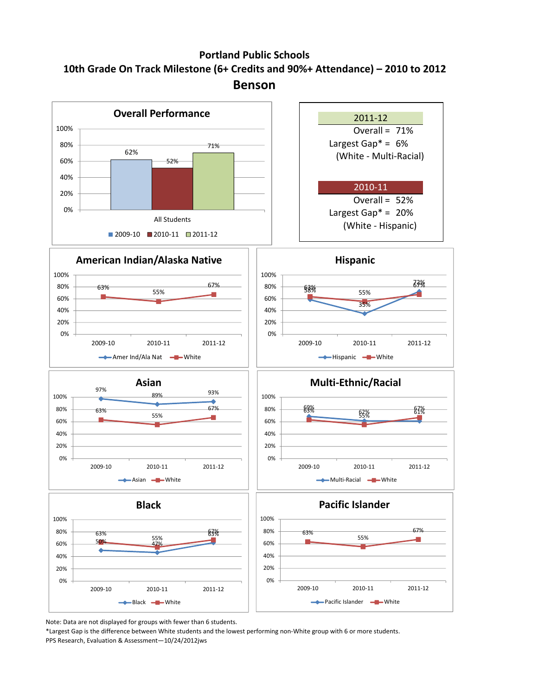## **Portland Public Schools 10th Grade On Track Milestone (6+ Credits and 90%+ Attendance) – 2010 to 2012 Benson**



Note: Data are not displayed for groups with fewer than 6 students.

\*Largest Gap is the difference between White students and the lowest performing non‐White group with 6 or more students. PPS Research, Evaluation & Assessment—10/24/2012jws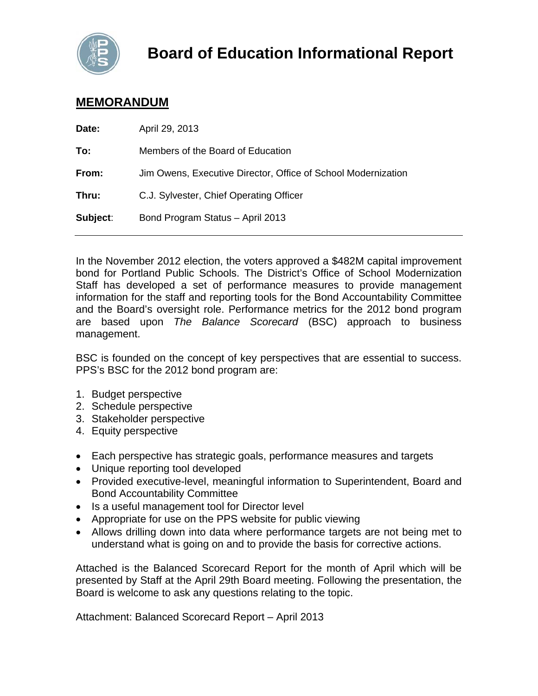

## **MEMORANDUM**

| Date:    | April 29, 2013                                                |
|----------|---------------------------------------------------------------|
| To:      | Members of the Board of Education                             |
| From:    | Jim Owens, Executive Director, Office of School Modernization |
| Thru:    | C.J. Sylvester, Chief Operating Officer                       |
| Subject: | Bond Program Status - April 2013                              |
|          |                                                               |

In the November 2012 election, the voters approved a \$482M capital improvement bond for Portland Public Schools. The District's Office of School Modernization Staff has developed a set of performance measures to provide management information for the staff and reporting tools for the Bond Accountability Committee and the Board's oversight role. Performance metrics for the 2012 bond program are based upon *The Balance Scorecard* (BSC) approach to business management.

BSC is founded on the concept of key perspectives that are essential to success. PPS's BSC for the 2012 bond program are:

- 1. Budget perspective
- 2. Schedule perspective
- 3. Stakeholder perspective
- 4. Equity perspective
- Each perspective has strategic goals, performance measures and targets
- Unique reporting tool developed
- Provided executive-level, meaningful information to Superintendent, Board and Bond Accountability Committee
- Is a useful management tool for Director level
- Appropriate for use on the PPS website for public viewing
- Allows drilling down into data where performance targets are not being met to understand what is going on and to provide the basis for corrective actions.

Attached is the Balanced Scorecard Report for the month of April which will be presented by Staff at the April 29th Board meeting. Following the presentation, the Board is welcome to ask any questions relating to the topic.

Attachment: Balanced Scorecard Report – April 2013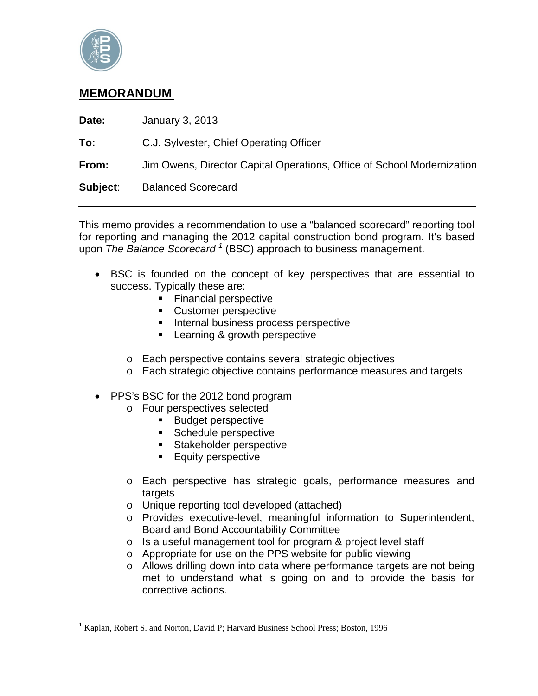

 $\overline{a}$ 

## **MEMORANDUM**

| Date:    | January 3, 2013                                                        |
|----------|------------------------------------------------------------------------|
| To:      | C.J. Sylvester, Chief Operating Officer                                |
| From:    | Jim Owens, Director Capital Operations, Office of School Modernization |
| Subject: | <b>Balanced Scorecard</b>                                              |

This memo provides a recommendation to use a "balanced scorecard" reporting tool for reporting and managing the 2012 capital construction bond program. It's based upon *The Balance Scorecard <sup>1</sup>* (BSC) approach to business management.

- BSC is founded on the concept of key perspectives that are essential to success. Typically these are:
	- **Financial perspective**
	- **Customer perspective**
	- **Internal business process perspective**
	- Learning & growth perspective
	- o Each perspective contains several strategic objectives
	- o Each strategic objective contains performance measures and targets
- PPS's BSC for the 2012 bond program
	- o Four perspectives selected
		- **Budget perspective**
		- **Schedule perspective**
		- **Stakeholder perspective**
		- **Equity perspective**
	- o Each perspective has strategic goals, performance measures and targets
	- o Unique reporting tool developed (attached)
	- o Provides executive-level, meaningful information to Superintendent, Board and Bond Accountability Committee
	- o Is a useful management tool for program & project level staff
	- o Appropriate for use on the PPS website for public viewing
	- o Allows drilling down into data where performance targets are not being met to understand what is going on and to provide the basis for corrective actions.

<sup>&</sup>lt;sup>1</sup> Kaplan, Robert S. and Norton, David P; Harvard Business School Press; Boston, 1996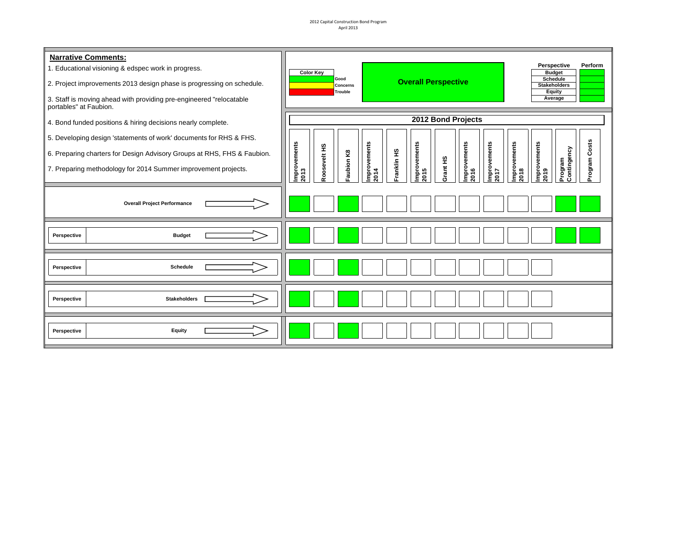2012 Capital Construction Bond Program April 2013

| <b>Narrative Comments:</b><br>1. Educational visioning & edspec work in progress.<br>2. Project improvements 2013 design phase is progressing on schedule.<br>3. Staff is moving ahead with providing pre-engineered "relocatable"<br>portables" at Faubion. |  |                      | <b>Color Key</b>   | Good<br>Concerns<br>Trouble |                     |             | <b>Overall Perspective</b> |          |                      |                      |                      | Perspective<br><b>Budget</b><br><b>Schedule</b><br><b>Stakeholders</b><br>Equity<br>Average |                        | Perform |
|--------------------------------------------------------------------------------------------------------------------------------------------------------------------------------------------------------------------------------------------------------------|--|----------------------|--------------------|-----------------------------|---------------------|-------------|----------------------------|----------|----------------------|----------------------|----------------------|---------------------------------------------------------------------------------------------|------------------------|---------|
| 4. Bond funded positions & hiring decisions nearly complete.                                                                                                                                                                                                 |  |                      | 2012 Bond Projects |                             |                     |             |                            |          |                      |                      |                      |                                                                                             |                        |         |
| 5. Developing design 'statements of work' documents for RHS & FHS.                                                                                                                                                                                           |  |                      |                    |                             |                     |             |                            |          |                      |                      |                      |                                                                                             |                        |         |
| 6. Preparing charters for Design Advisory Groups at RHS, FHS & Faubion.                                                                                                                                                                                      |  |                      |                    |                             |                     |             |                            |          |                      |                      |                      |                                                                                             |                        | Costs   |
| 7. Preparing methodology for 2014 Summer improvement projects.                                                                                                                                                                                               |  | Improvements<br>2013 | Roosevelt HS       | Faubion K8                  | mprovements<br>2014 | Franklin HS | Improvements<br>2015       | Grant HS | Improvements<br>2016 | Improvements<br>2017 | Improvements<br>2018 | mprovements<br>2019                                                                         | Contingency<br>Program | Program |
| <b>Overall Project Performance</b>                                                                                                                                                                                                                           |  |                      |                    |                             |                     |             |                            |          |                      |                      |                      |                                                                                             |                        |         |
| <b>Budget</b><br>Perspective                                                                                                                                                                                                                                 |  |                      |                    |                             |                     |             |                            |          |                      |                      |                      |                                                                                             |                        |         |
| Schedule<br>Perspective                                                                                                                                                                                                                                      |  |                      |                    |                             |                     |             |                            |          |                      |                      |                      |                                                                                             |                        |         |
| <b>Stakeholders</b><br>Perspective                                                                                                                                                                                                                           |  |                      |                    |                             |                     |             |                            |          |                      |                      |                      |                                                                                             |                        |         |
| Equity<br>Perspective                                                                                                                                                                                                                                        |  |                      |                    |                             |                     |             |                            |          |                      |                      |                      |                                                                                             |                        |         |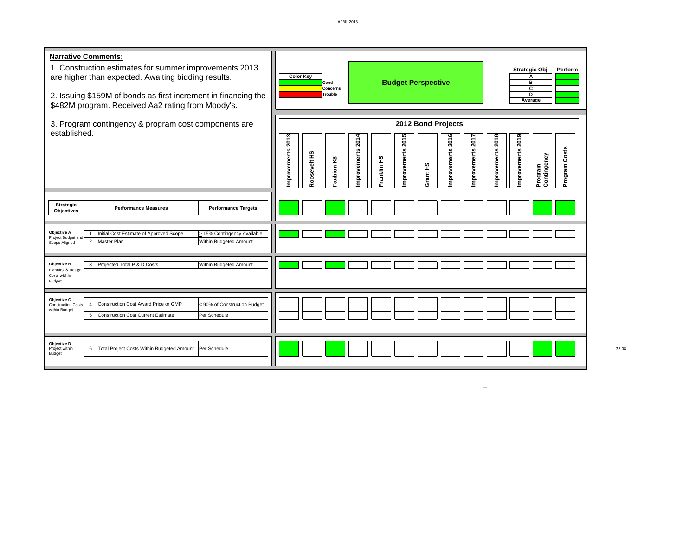| <b>Narrative Comments:</b><br>1. Construction estimates for summer improvements 2013<br>are higher than expected. Awaiting bidding results.<br>2. Issuing \$159M of bonds as first increment in financing the<br>\$482M program. Received Aa2 rating from Moody's. | Strategic Obj.<br>Perform<br><b>Color Key</b><br>A<br><b>Budget Perspective</b><br>в<br>Good<br>C<br>Concerns<br>D<br>Trouble<br>Average                                                                                                                                              |
|--------------------------------------------------------------------------------------------------------------------------------------------------------------------------------------------------------------------------------------------------------------------|---------------------------------------------------------------------------------------------------------------------------------------------------------------------------------------------------------------------------------------------------------------------------------------|
| 3. Program contingency & program cost components are<br>established.                                                                                                                                                                                               | 2012 Bond Projects<br>mprovements 2013<br>2018<br>2019<br>2015<br>2014<br>2016<br>2017<br>Program Costs<br>mprovements<br>mprovements<br>mprovements<br>mprovements<br>improvements<br>mprovements<br>Roosevelt HS<br>Contingency<br>Franklin HS<br>Faubion K8<br>Grant HS<br>Program |
| <b>Strategic</b><br><b>Performance Targets</b><br><b>Performance Measures</b><br><b>Objectives</b>                                                                                                                                                                 |                                                                                                                                                                                                                                                                                       |
| Objective A<br>Initial Cost Estimate of Approved Scope<br>> 15% Contingency Available<br>$\mathbf{1}$<br>Project Budget and<br>2 Master Plan<br>Within Budgeted Amount<br>Scope Aligned                                                                            |                                                                                                                                                                                                                                                                                       |
| 3 Projected Total P & D Costs<br>Objective B<br>Within Budgeted Amount<br>Planning & Design<br>Costs within<br>Budget                                                                                                                                              |                                                                                                                                                                                                                                                                                       |
| Objective C<br>Construction Cost Award Price or GMP<br>< 90% of Construction Budget<br>$\overline{4}$<br><b>Construction Costs</b><br>within Budget<br><b>Construction Cost Current Estimate</b><br>5<br>Per Schedule                                              |                                                                                                                                                                                                                                                                                       |
| Objective D<br>Total Project Costs Within Budgeted Amount<br>6<br>Per Schedule<br>Project within<br>Budget                                                                                                                                                         |                                                                                                                                                                                                                                                                                       |

 $\frac{1}{\sqrt{2}}$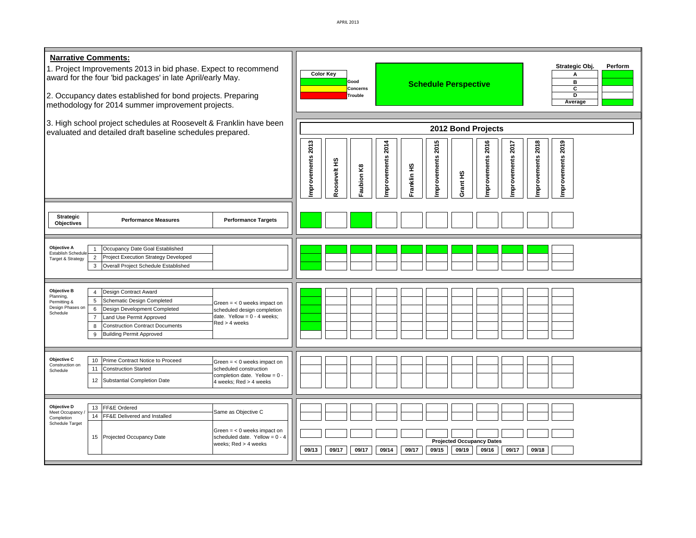| <b>Narrative Comments:</b><br>1. Project Improvements 2013 in bid phase. Expect to recommend<br>award for the four 'bid packages' in late April/early May.<br>2. Occupancy dates established for bond projects. Preparing<br>methodology for 2014 summer improvement projects.                                                                                                                                                                             | Strategic Obj.<br>Perform<br><b>Color Key</b><br>А<br>Good<br>в<br><b>Schedule Perspective</b><br>c<br>Concerns<br>ъ<br>Trouble<br>Average                                                                                        |
|------------------------------------------------------------------------------------------------------------------------------------------------------------------------------------------------------------------------------------------------------------------------------------------------------------------------------------------------------------------------------------------------------------------------------------------------------------|-----------------------------------------------------------------------------------------------------------------------------------------------------------------------------------------------------------------------------------|
| 3. High school project schedules at Roosevelt & Franklin have been<br>evaluated and detailed draft baseline schedules prepared.                                                                                                                                                                                                                                                                                                                            | 2012 Bond Projects<br>mprovements 2013<br>2015<br>2016<br>mprovements 2018<br>2019<br>mprovements 2017<br>2014<br>mprovements<br>mprovements<br>mprovements<br>mprovements<br>Roosevelt HS<br>ranklin HS<br>aubion K8<br>Grant HS |
| <b>Strategic</b><br><b>Performance Targets</b><br><b>Performance Measures</b><br><b>Objectives</b>                                                                                                                                                                                                                                                                                                                                                         |                                                                                                                                                                                                                                   |
| Objective A<br>Occupancy Date Goal Established<br>Establish Schedule<br>$\overline{2}$<br>Project Execution Strategy Developed<br>Target & Strategy<br>Overall Project Schedule Established<br>$\mathbf{3}$                                                                                                                                                                                                                                                |                                                                                                                                                                                                                                   |
| Objective B<br>Design Contract Award<br>$\overline{4}$<br>Planning,<br>5<br>Schematic Design Completed<br>Permitting &<br>Green $=$ < 0 weeks impact on<br>Design Phases or<br>$\,6\,$<br>Design Development Completed<br>scheduled design completion<br>Schedule<br>date. Yellow = $0 - 4$ weeks;<br>$\overline{7}$<br>Land Use Permit Approved<br>$Red > 4$ weeks<br><b>Construction Contract Documents</b><br>8<br><b>Building Permit Approved</b><br>9 |                                                                                                                                                                                                                                   |
| Objective C<br>Prime Contract Notice to Proceed<br>10<br>Green $=$ < 0 weeks impact on<br>Construction on<br>11<br><b>Construction Started</b><br>scheduled construction<br>Schedule<br>completion date. Yellow = $0$<br>12<br>Substantial Completion Date<br>4 weeks; Red > 4 weeks                                                                                                                                                                       |                                                                                                                                                                                                                                   |
| Objective D<br>13 FF&E Ordered<br>Same as Objective C<br>Meet Occupancy<br>FF&E Delivered and Installed<br>14<br>Completion<br>Schedule Target<br>Green $=$ < 0 weeks impact on<br>15 Projected Occupancy Date<br>scheduled date. Yellow = $0 - 4$<br>weeks; Red > 4 weeks                                                                                                                                                                                 | <b>Projected Occupancy Dates</b><br>09/15<br>09/19<br>09/16<br>09/17<br>09/18<br>09/13<br>09/17<br>09/17<br>09/14<br>09/17                                                                                                        |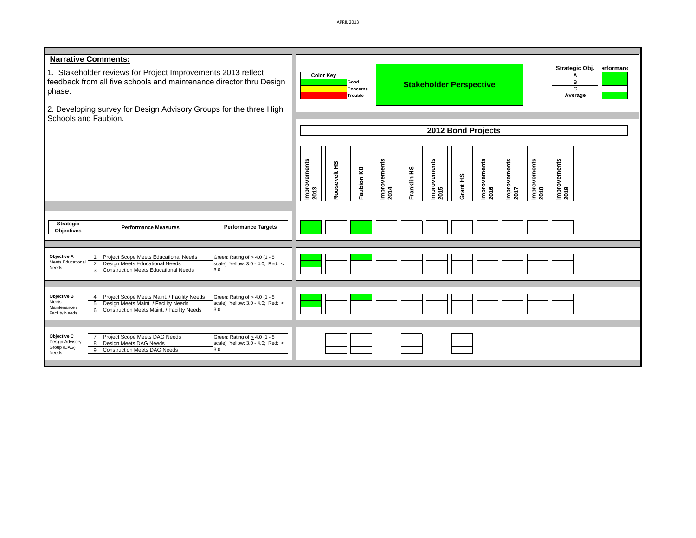APRIL 2013

| <b>Narrative Comments:</b><br>1. Stakeholder reviews for Project Improvements 2013 reflect<br>feedback from all five schools and maintenance director thru Design<br>phase.<br>2. Developing survey for Design Advisory Groups for the three High<br>Schools and Faubion.                                               | Strategic Obj. erformano<br><b>Color Key</b><br>А<br>Good<br>в<br><b>Stakeholder Perspective</b><br>c<br><b>Concerns</b><br>Average<br>Trouble<br>2012 Bond Projects<br>Improvements<br>2014<br>Improvements<br>2015<br>Improvements<br>2017<br>Improvements<br>2018<br>Improvements<br>2019<br>Improvements<br>2013<br>Improvements<br>Roosevelt HS<br>Franklin HS<br>Faubion K8<br>Grant HS<br>2016 |
|-------------------------------------------------------------------------------------------------------------------------------------------------------------------------------------------------------------------------------------------------------------------------------------------------------------------------|-------------------------------------------------------------------------------------------------------------------------------------------------------------------------------------------------------------------------------------------------------------------------------------------------------------------------------------------------------------------------------------------------------|
| Strategic<br><b>Performance Measures</b><br><b>Performance Targets</b><br><b>Objectives</b>                                                                                                                                                                                                                             |                                                                                                                                                                                                                                                                                                                                                                                                       |
| <b>Objective A</b><br>Project Scope Meets Educational Needs<br>Green: Rating of $\geq 4.0$ (1 - 5<br>$\mathbf{1}$<br>Meets Educational<br>$\overline{2}$<br>scale) Yellow: 3.0 - 4.0; Red: <<br>Design Meets Educational Needs<br>Needs<br><b>Construction Meets Educational Needs</b><br>3.0<br>$\mathbf{3}$           |                                                                                                                                                                                                                                                                                                                                                                                                       |
| Project Scope Meets Maint. / Facility Needs<br><b>Objective B</b><br>Green: Rating of $\geq 4.0$ (1 - 5<br>$\overline{4}$<br>Meets<br>Design Meets Maint. / Facility Needs<br>5<br>scale) Yellow: 3.0 - 4.0; Red: <<br>Maintenance /<br>3.0<br>Construction Meets Maint. / Facility Needs<br>6<br><b>Facility Needs</b> |                                                                                                                                                                                                                                                                                                                                                                                                       |
| Project Scope Meets DAG Needs<br>Objective C<br>$\overline{7}$<br>Green: Rating of $\geq 4.0$ (1 - 5<br>Design Advisory<br>Design Meets DAG Needs<br>scale) Yellow: 3.0 - 4.0; Red: <<br>8<br>Group (DAG)<br><b>Construction Meets DAG Needs</b><br>3.0<br>9<br>Needs                                                   |                                                                                                                                                                                                                                                                                                                                                                                                       |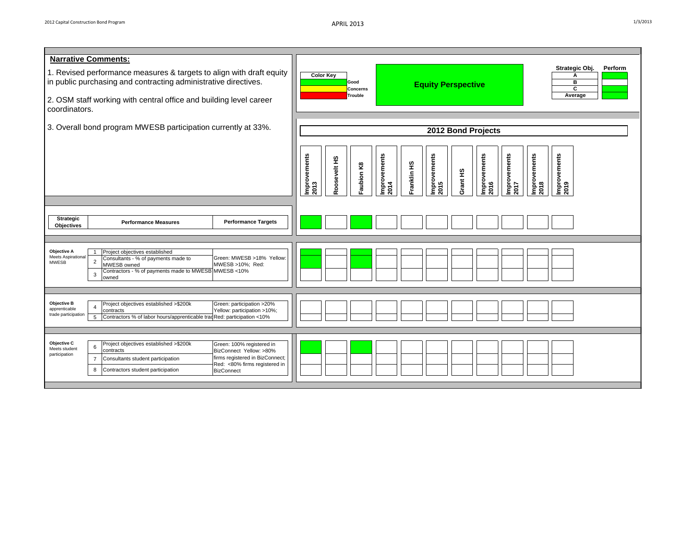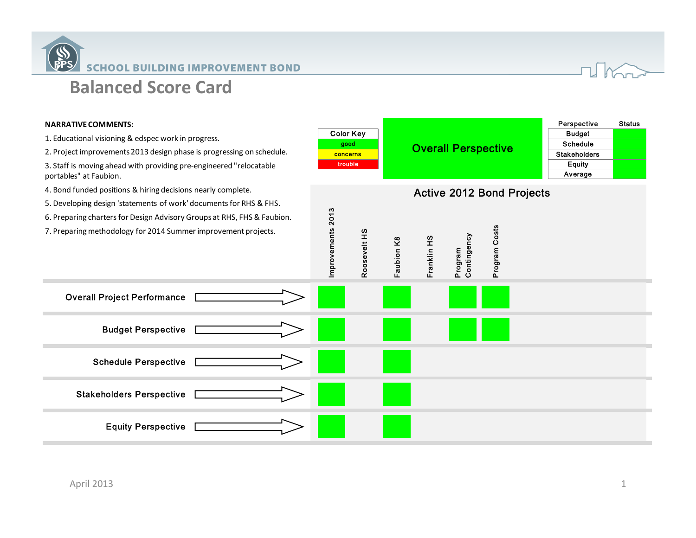



#### **NARRATIVE COMMENTS:**

- 1. Educational visioning & edspec work in progress.
- 2. Project improvements 2013 design phase is progressing on schedule.

3. Staff is moving ahead with providing pre‐engineered "relocatable portables" at Faubion.

4. Bond funded positions & hiring decisions nearly complete.

Budget Perspective

Overall Project Performance

Schedule Perspective

Equity Perspective

Stakeholders Perspective

5. Developing design 'statements of work' documentsfor RHS & FHS.

- 6. Preparing charters for Design Advisory Groups at RHS, FHS & Faubion.
- 7. Preparing methodology for 2014 Summer improvement projects.

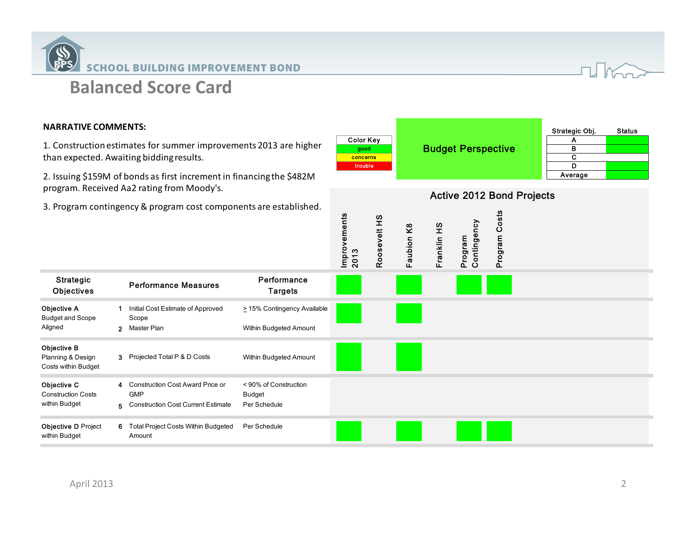



## **NARRATIVE COMMENTS:**

1. Construction estimates for summer improvements 2013 are higher than expected. Awaiting biddingresults.

2. Issuing \$159M of bonds as first incrementin financingthe \$482M program. Received Aa2 rating from Moody's.

|                  |                           | Strategic Obj. | <b>Status</b> |
|------------------|---------------------------|----------------|---------------|
| <b>Color Key</b> |                           |                |               |
| good             | <b>Budget Perspective</b> | в              |               |
| <b>concerns</b>  |                           |                |               |
| trouble          |                           |                |               |
|                  |                           | Average        |               |

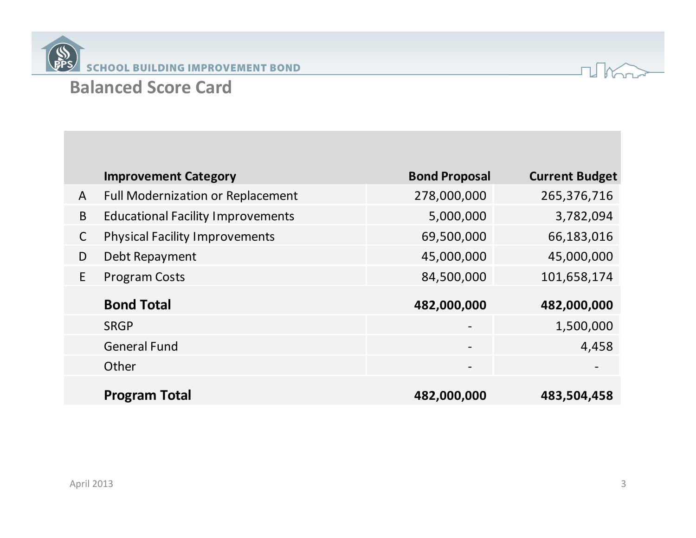



|              | <b>Improvement Category</b>              | <b>Bond Proposal</b>     | <b>Current Budget</b>    |
|--------------|------------------------------------------|--------------------------|--------------------------|
| A            | <b>Full Modernization or Replacement</b> | 278,000,000              | 265,376,716              |
| B            | <b>Educational Facility Improvements</b> | 5,000,000                | 3,782,094                |
| $\mathsf{C}$ | <b>Physical Facility Improvements</b>    | 69,500,000               | 66,183,016               |
| D            | Debt Repayment                           | 45,000,000               | 45,000,000               |
| E            | <b>Program Costs</b>                     | 84,500,000               | 101,658,174              |
|              |                                          |                          |                          |
|              | <b>Bond Total</b>                        | 482,000,000              | 482,000,000              |
|              | <b>SRGP</b>                              | $\overline{\phantom{m}}$ | 1,500,000                |
|              | <b>General Fund</b>                      | $\overline{\phantom{a}}$ | 4,458                    |
|              | Other                                    | $\overline{\phantom{a}}$ | $\overline{\phantom{a}}$ |
|              | <b>Program Total</b>                     | 482,000,000              | 483,504,458              |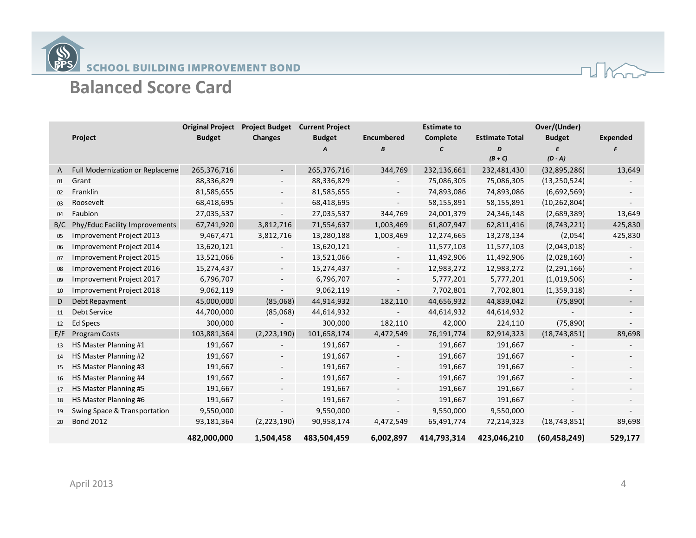



|              |                                 | <b>Original Project</b> | <b>Project Budget</b>    | <b>Current Project</b> |                          | <b>Estimate to</b> |                       | Over/(Under)   |                          |
|--------------|---------------------------------|-------------------------|--------------------------|------------------------|--------------------------|--------------------|-----------------------|----------------|--------------------------|
|              | Project                         | <b>Budget</b>           | <b>Changes</b>           | <b>Budget</b>          | Encumbered               | Complete           | <b>Estimate Total</b> | <b>Budget</b>  | Expended                 |
|              |                                 |                         |                          | A                      | В                        | C                  | D                     |                |                          |
|              |                                 |                         |                          |                        |                          |                    | $(B+C)$               | $(D - A)$      |                          |
| $\mathsf{A}$ | Full Modernization or Replaceme | 265,376,716             |                          | 265,376,716            | 344,769                  | 232,136,661        | 232,481,430           | (32, 895, 286) | 13,649                   |
| 01           | Grant                           | 88,336,829              |                          | 88,336,829             |                          | 75,086,305         | 75,086,305            | (13, 250, 524) |                          |
| 02           | Franklin                        | 81,585,655              |                          | 81,585,655             |                          | 74,893,086         | 74,893,086            | (6,692,569)    |                          |
| 03           | Roosevelt                       | 68,418,695              |                          | 68,418,695             |                          | 58,155,891         | 58,155,891            | (10, 262, 804) |                          |
| 04           | Faubion                         | 27,035,537              |                          | 27,035,537             | 344,769                  | 24,001,379         | 24,346,148            | (2,689,389)    | 13,649                   |
| B/C          | Phy/Educ Facility Improvements  | 67,741,920              | 3,812,716                | 71,554,637             | 1,003,469                | 61,807,947         | 62,811,416            | (8,743,221)    | 425,830                  |
| 05           | Improvement Project 2013        | 9,467,471               | 3,812,716                | 13,280,188             | 1,003,469                | 12,274,665         | 13,278,134            | (2,054)        | 425,830                  |
| 06           | Improvement Project 2014        | 13,620,121              |                          | 13,620,121             |                          | 11,577,103         | 11,577,103            | (2,043,018)    |                          |
| 07           | Improvement Project 2015        | 13,521,066              | $\overline{\phantom{a}}$ | 13,521,066             | $\overline{\phantom{a}}$ | 11,492,906         | 11,492,906            | (2,028,160)    |                          |
| 08           | Improvement Project 2016        | 15,274,437              | $\overline{\phantom{a}}$ | 15,274,437             | $\overline{\phantom{a}}$ | 12,983,272         | 12,983,272            | (2, 291, 166)  |                          |
| 09           | Improvement Project 2017        | 6,796,707               | $\sim$                   | 6,796,707              | $\overline{\phantom{a}}$ | 5,777,201          | 5,777,201             | (1,019,506)    | $\overline{\phantom{a}}$ |
| 10           | Improvement Project 2018        | 9,062,119               |                          | 9,062,119              |                          | 7,702,801          | 7,702,801             | (1,359,318)    |                          |
| D            | Debt Repayment                  | 45,000,000              | (85,068)                 | 44,914,932             | 182,110                  | 44,656,932         | 44,839,042            | (75, 890)      |                          |
| 11           | Debt Service                    | 44,700,000              | (85,068)                 | 44,614,932             |                          | 44,614,932         | 44,614,932            |                |                          |
| 12           | <b>Ed Specs</b>                 | 300,000                 |                          | 300,000                | 182,110                  | 42,000             | 224,110               | (75, 890)      |                          |
| E/F          | Program Costs                   | 103,881,364             | (2, 223, 190)            | 101,658,174            | 4,472,549                | 76,191,774         | 82,914,323            | (18, 743, 851) | 89,698                   |
| 13           | HS Master Planning #1           | 191,667                 |                          | 191,667                |                          | 191,667            | 191,667               |                |                          |
| 14           | HS Master Planning #2           | 191,667                 |                          | 191,667                |                          | 191,667            | 191,667               |                |                          |
| 15           | HS Master Planning #3           | 191,667                 |                          | 191,667                |                          | 191,667            | 191,667               |                |                          |
| 16           | HS Master Planning #4           | 191,667                 |                          | 191,667                |                          | 191,667            | 191,667               |                |                          |
| 17           | HS Master Planning #5           | 191,667                 |                          | 191,667                |                          | 191,667            | 191,667               |                |                          |
| 18           | HS Master Planning #6           | 191,667                 |                          | 191,667                |                          | 191,667            | 191,667               |                |                          |
| 19           | Swing Space & Transportation    | 9,550,000               |                          | 9,550,000              |                          | 9,550,000          | 9,550,000             |                |                          |
| 20           | <b>Bond 2012</b>                | 93,181,364              | (2,223,190)              | 90,958,174             | 4,472,549                | 65,491,774         | 72,214,323            | (18, 743, 851) | 89,698                   |
|              |                                 | 482,000,000             | 1,504,458                | 483,504,459            | 6,002,897                | 414,793,314        | 423,046,210           | (60, 458, 249) | 529,177                  |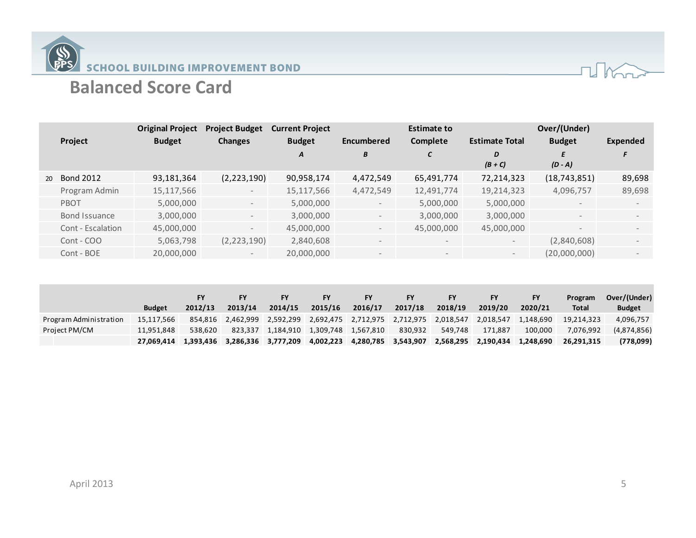

|    |                   | <b>Original Project</b> | <b>Project Budget</b>    | <b>Current Project</b> |                          | <b>Estimate to</b>       |                       | Over/(Under)   |                          |
|----|-------------------|-------------------------|--------------------------|------------------------|--------------------------|--------------------------|-----------------------|----------------|--------------------------|
|    | Project           | <b>Budget</b>           | <b>Changes</b>           | <b>Budget</b>          | Encumbered               | Complete                 | <b>Estimate Total</b> | <b>Budget</b>  | <b>Expended</b>          |
|    |                   |                         |                          | A                      | B                        | C                        | D                     | E              |                          |
|    |                   |                         |                          |                        |                          |                          | $(B+C)$               | $(D - A)$      |                          |
| 20 | <b>Bond 2012</b>  | 93,181,364              | (2, 223, 190)            | 90,958,174             | 4,472,549                | 65,491,774               | 72,214,323            | (18, 743, 851) | 89,698                   |
|    | Program Admin     | 15,117,566              | $-$                      | 15,117,566             | 4,472,549                | 12,491,774               | 19,214,323            | 4,096,757      | 89,698                   |
|    | PBOT              | 5,000,000               | $-$                      | 5,000,000              | $\overline{\phantom{a}}$ | 5,000,000                | 5,000,000             |                |                          |
|    | Bond Issuance     | 3,000,000               | $\sim$                   | 3,000,000              | $\overline{\phantom{a}}$ | 3,000,000                | 3,000,000             | $\sim$         | $\overline{\phantom{0}}$ |
|    | Cont - Escalation | 45,000,000              | $\overline{\phantom{0}}$ | 45,000,000             | $\overline{\phantom{a}}$ | 45,000,000               | 45,000,000            |                |                          |
|    | Cont - COO        | 5,063,798               | (2, 223, 190)            | 2,840,608              | $\overline{\phantom{a}}$ | $\overline{\phantom{a}}$ | $-$                   | (2,840,608)    |                          |
|    | Cont - BOE        | 20,000,000              | $-$                      | 20,000,000             | $\overline{\phantom{a}}$ | $\overline{\phantom{a}}$ | $-$                   | (20,000,000)   |                          |

|                        | <b>Budget</b> | 2012/13 | 2013/14                       | FΥ<br>2014/15     | <b>FY</b><br>2015/16 | <b>FY</b><br>2016/17 | <b>FY</b><br>2017/18                    | FY<br>2018/19 | FY<br>2019/20 | <b>FY</b><br>2020/21 | Program<br><b>Total</b> | Over/(Under)<br><b>Budget</b> |
|------------------------|---------------|---------|-------------------------------|-------------------|----------------------|----------------------|-----------------------------------------|---------------|---------------|----------------------|-------------------------|-------------------------------|
| Program Administration | 15.117.566    |         | 854,816 2,462,999             | 2,592,299         |                      |                      | 2,692,475 2,712,975 2,712,975 2,018,547 |               | 2,018,547     | 1.148.690            | 19.214.323              | 4,096,757                     |
| Project PM/CM          | 11.951.848    | 538.620 |                               | 823.337 1.184.910 | 1,309,748 1,567,810  |                      | 830,932                                 | 549.748       | 171.887       | 100.000              | 7.076.992               | (4,874,856)                   |
|                        | 27.069.414    |         | 1,393,436 3,286,336 3,777,209 |                   | 4,002,223            | 4,280,785            | 3,543,907                               | 2,568,295     | 2.190.434     | 1.248.690            | 26,291,315              | (778,099)                     |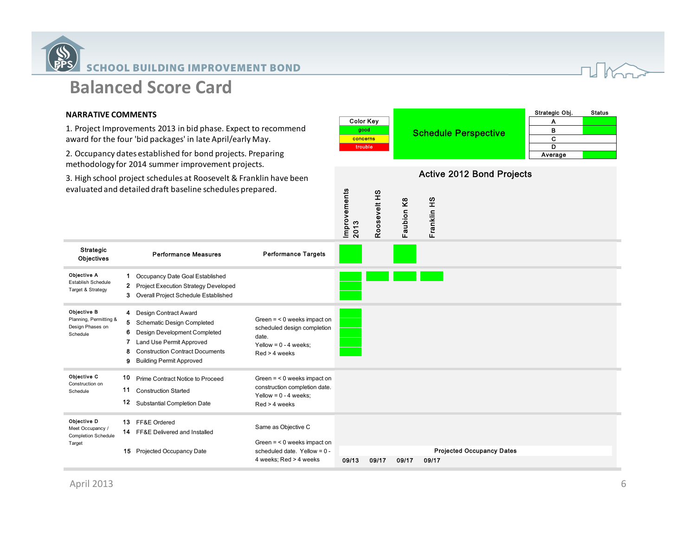

## **NARRATIVE COMMENTS**

1. Project Improvements 2013 in bid phase. Expect to recommend award for the four 'bid packages' in late April/early May.

2. Occupancy dates established for bond projects. Preparing methodology for 2014 summer improvement projects.

3. High school project schedules at Roosevelt & Franklin have been evaluatedand detailed draft baseline schedules prepared.

|                  |                      | Strategic Obj. | <b>Status</b> |
|------------------|----------------------|----------------|---------------|
| <b>Color Kev</b> | Schedule Perspective |                |               |
| good             |                      |                |               |
| concerns         |                      |                |               |
| trouble          |                      |                |               |
|                  |                      | Average        |               |

Active 2012 Bond Projects

| evaluated and detailed draft baseline schedules prepared.               |                        |                                                                                                                                                                                                  |                                                                                                                   | Improvements<br>2013 | Roosevelt HS | aubion K8<br>щ | Franklin HS                               |  |
|-------------------------------------------------------------------------|------------------------|--------------------------------------------------------------------------------------------------------------------------------------------------------------------------------------------------|-------------------------------------------------------------------------------------------------------------------|----------------------|--------------|----------------|-------------------------------------------|--|
| Strategic<br>Objectives                                                 |                        | <b>Performance Measures</b>                                                                                                                                                                      | <b>Performance Targets</b>                                                                                        |                      |              |                |                                           |  |
| Objective A<br><b>Establish Schedule</b><br>Target & Strategy           | 1<br>$\mathbf{2}$<br>3 | Occupancy Date Goal Established<br><b>Project Execution Strategy Developed</b><br>Overall Project Schedule Established                                                                           |                                                                                                                   |                      |              |                |                                           |  |
| Objective B<br>Planning, Permitting &<br>Design Phases on<br>Schedule   | 6<br>7<br>8<br>9       | 4 Design Contract Award<br>5 Schematic Design Completed<br>Design Development Completed<br>Land Use Permit Approved<br><b>Construction Contract Documents</b><br><b>Building Permit Approved</b> | Green $=$ < 0 weeks impact on<br>scheduled design completion<br>date.<br>Yellow = $0 - 4$ weeks:<br>Red > 4 weeks |                      |              |                |                                           |  |
| Objective C<br>Construction on<br>Schedule                              | 10<br>11<br>12         | Prime Contract Notice to Proceed<br><b>Construction Started</b><br><b>Substantial Completion Date</b>                                                                                            | Green $=$ < 0 weeks impact on<br>construction completion date.<br>Yellow = $0 - 4$ weeks;<br>Red > 4 weeks        |                      |              |                |                                           |  |
| Objective D<br>Meet Occupancy /<br><b>Completion Schedule</b><br>Target | 13<br>15               | FF&E Ordered<br>14 FF&E Delivered and Installed<br>Projected Occupancy Date                                                                                                                      | Same as Objective C<br>Green $=$ < 0 weeks impact on<br>scheduled date. Yellow = $0 -$<br>4 weeks; Red > 4 weeks  | 09/13                | 09/17        | 09/17          | <b>Projected Occupancy Dates</b><br>09/17 |  |

 $U$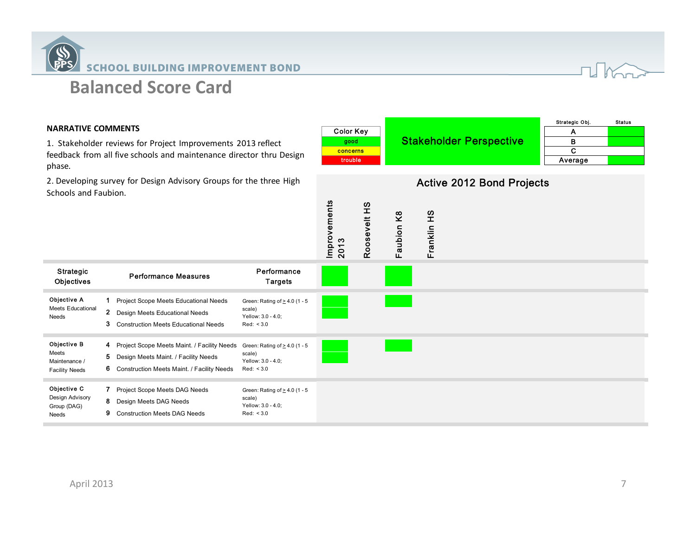



## **NARRATIVE COMMENTS**

Strategic

Objective A Meets Educational

Objective B Meets Maintenance / Facility Needs

Objective C Design Advisory Group (DAG) Needs

Needs

1. Stakeholder reviews for Project Improvements 2013 reflect feedback from all five schools and maintenance director thru Design phase.

2. Developing survey for Design Advisory Groups for the three High Schools and Faubion.

| <b>MMENTS</b><br>reviews for Project Improvements 2013 reflect<br>all five schools and maintenance director thru Design                                                                                                     | <b>Color Key</b><br>good<br>concerns<br>trouble |                               | <b>Stakeholder Perspective</b>   | Strategic Obj.<br>A<br>B<br>$\mathbf C$<br>Average | <b>Status</b> |
|-----------------------------------------------------------------------------------------------------------------------------------------------------------------------------------------------------------------------------|-------------------------------------------------|-------------------------------|----------------------------------|----------------------------------------------------|---------------|
| urvey for Design Advisory Groups for the three High<br>ıbion.                                                                                                                                                               |                                                 |                               | <b>Active 2012 Bond Projects</b> |                                                    |               |
|                                                                                                                                                                                                                             | Improvements<br>2013<br>Roosevelt HS            | Franklin HS<br>aubion K8<br>Щ |                                  |                                                    |               |
| Performance<br><b>Performance Measures</b><br><b>Targets</b>                                                                                                                                                                |                                                 |                               |                                  |                                                    |               |
| 1 Project Scope Meets Educational Needs<br>Green: Rating of $\geq$ 4.0 (1 - 5<br>scale)<br>2 Design Meets Educational Needs<br>Yellow: 3.0 - 4.0;<br>3 Construction Meets Educational Needs<br>Red: < 3.0                   |                                                 |                               |                                  |                                                    |               |
| 4 Project Scope Meets Maint. / Facility Needs<br>Green: Rating of $\geq$ 4.0 (1 - 5<br>scale)<br>5 Design Meets Maint. / Facility Needs<br>Yellow: 3.0 - 4.0;<br>6 Construction Meets Maint. / Facility Needs<br>Red: < 3.0 |                                                 |                               |                                  |                                                    |               |
| 7 Project Scope Meets DAG Needs<br>Green: Rating of $\geq$ 4.0 (1 - 5<br>scale)<br>8 Design Meets DAG Needs<br>Yellow: 3.0 - 4.0;<br>9 Construction Meets DAG Needs<br>Red: < 3.0                                           |                                                 |                               |                                  |                                                    |               |

Strategic<br>Objectives **Performance Measures**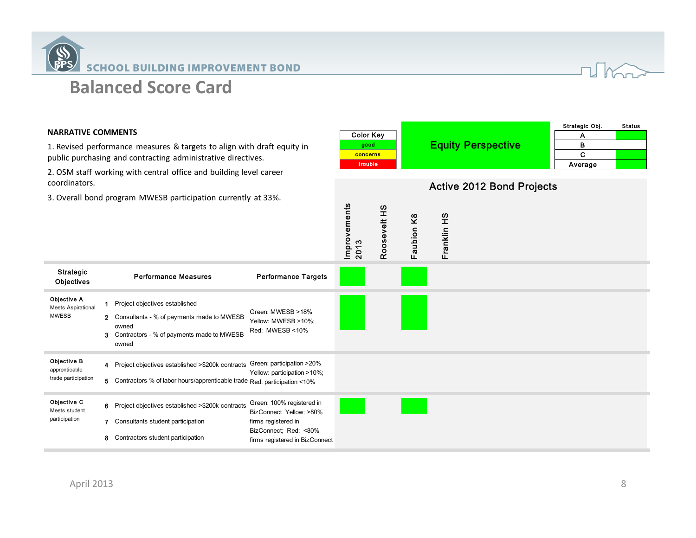



#### **NARRATIVE COMMENTS**

Strategic

Objective A Meets Aspirational MWESB

Objective C Meets student participation

Objective B apprenticable trade participation

1. Revised performance measures & targets to align with draft equity in public purchasing and contracting administrative directives.

2. OSM staff working with central office and building level career coordinators.

3. Overall bond program MWESB participation currently at 33%.

Objectives Performance Measures

7 Consultants student participation 8 Contractors student participation

firms registered in BizConnect

| MMENTS<br>rmance measures & targets to align with draft equity in<br>g and contracting administrative directives.<br>rking with central office and building level career<br>program MWESB participation currently at 33%. |                                                                                                                                                  | <b>Color Key</b><br>good<br>concerns<br>trouble                                                      |              |            |             | <b>Equity Perspective</b>        | Strategic Obj.<br>A<br>в<br>C<br>Average | <b>Status</b> |  |
|---------------------------------------------------------------------------------------------------------------------------------------------------------------------------------------------------------------------------|--------------------------------------------------------------------------------------------------------------------------------------------------|------------------------------------------------------------------------------------------------------|--------------|------------|-------------|----------------------------------|------------------------------------------|---------------|--|
|                                                                                                                                                                                                                           |                                                                                                                                                  | Improvements<br>2013                                                                                 | Roosevelt HS | Faubion K8 | Franklin HS | <b>Active 2012 Bond Projects</b> |                                          |               |  |
|                                                                                                                                                                                                                           | <b>Performance Measures</b>                                                                                                                      | <b>Performance Targets</b>                                                                           |              |            |             |                                  |                                          |               |  |
|                                                                                                                                                                                                                           | 1 Project objectives established<br>2 Consultants - % of payments made to MWESB<br>owned<br>3 Contractors - % of payments made to MWESB<br>owned | Green: MWESB >18%<br>Yellow: MWESB >10%;<br>Red: MWESB <10%                                          |              |            |             |                                  |                                          |               |  |
|                                                                                                                                                                                                                           | 4 Project objectives established >\$200k contracts<br>5 Contractors % of labor hours/apprenticable trade Red: participation <10%                 | Green: participation >20%<br>Yellow: participation >10%;                                             |              |            |             |                                  |                                          |               |  |
|                                                                                                                                                                                                                           | 6 Project objectives established >\$200k contracts<br>7 Consultants student participation                                                        | Green: 100% registered in<br>BizConnect Yellow: >80%<br>firms registered in<br>BizConnect: Red: <80% |              |            |             |                                  |                                          |               |  |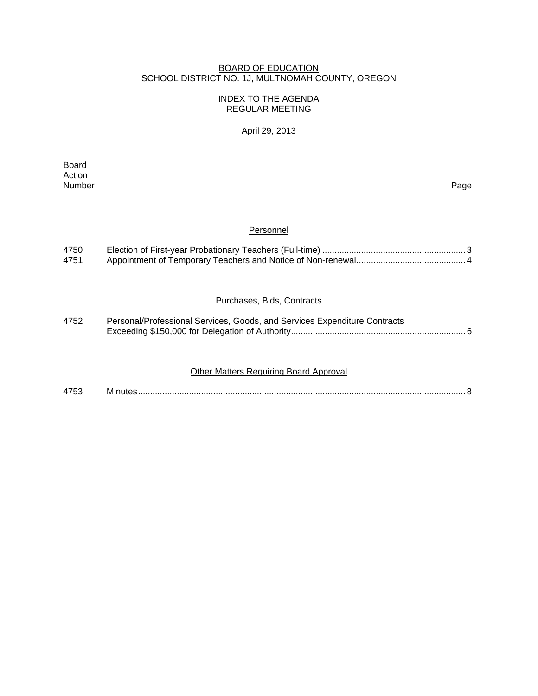## BOARD OF EDUCATION SCHOOL DISTRICT NO. 1J, MULTNOMAH COUNTY, OREGON

## INDEX TO THE AGENDA REGULAR MEETING

## April 29, 2013

**Board Board** Action<br>Number Number Page

#### **Personnel**

| 4750 |  |
|------|--|
| 4751 |  |

## Purchases, Bids, Contracts

| 4752 | Personal/Professional Services, Goods, and Services Expenditure Contracts |  |
|------|---------------------------------------------------------------------------|--|
|      |                                                                           |  |

## Other Matters Requiring Board Approval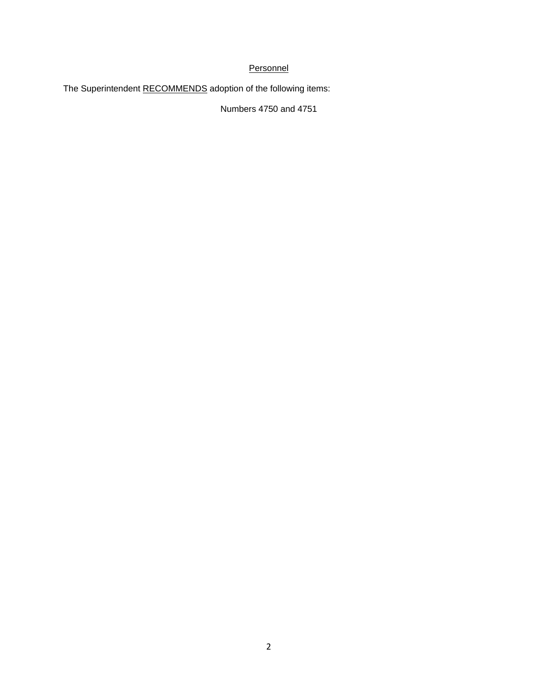## **Personnel**

The Superintendent RECOMMENDS adoption of the following items:

Numbers 4750 and 4751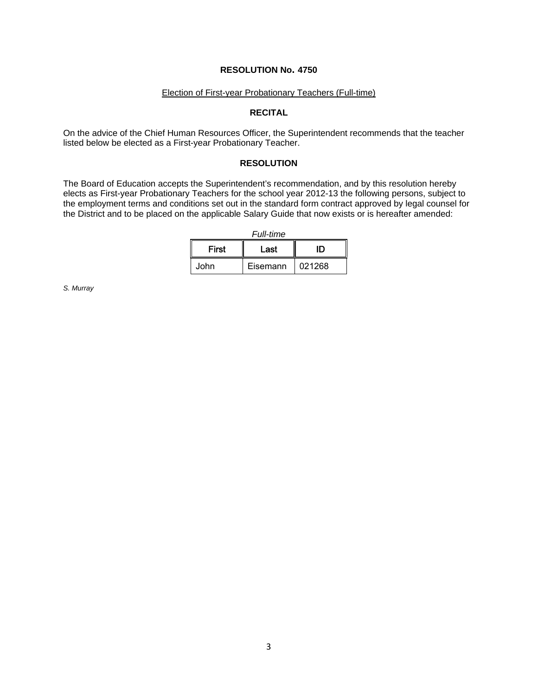## **RESOLUTION No. 4750**

## Election of First-year Probationary Teachers (Full-time)

## **RECITAL**

On the advice of the Chief Human Resources Officer, the Superintendent recommends that the teacher listed below be elected as a First-year Probationary Teacher.

## **RESOLUTION**

The Board of Education accepts the Superintendent's recommendation, and by this resolution hereby elects as First-year Probationary Teachers for the school year 2012-13 the following persons, subject to the employment terms and conditions set out in the standard form contract approved by legal counsel for the District and to be placed on the applicable Salary Guide that now exists or is hereafter amended:

*Full-time*

| First | Last     | ID     |  |
|-------|----------|--------|--|
| .John | Eisemann | 021268 |  |

*S. Murray*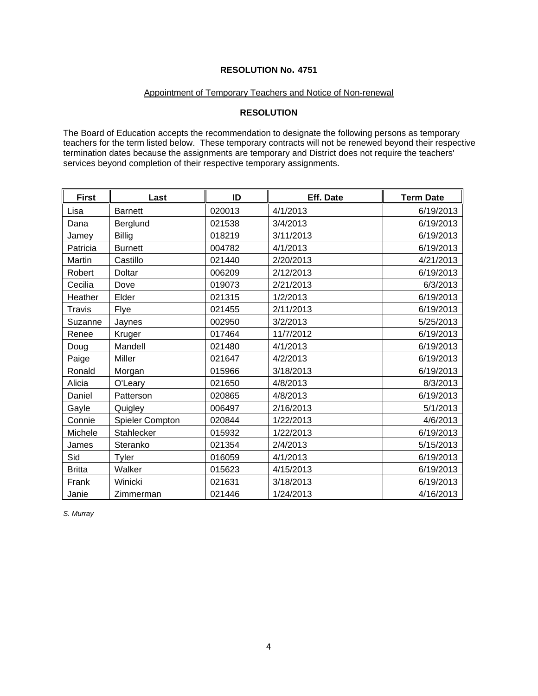## **RESOLUTION No. 4751**

## Appointment of Temporary Teachers and Notice of Non-renewal

## **RESOLUTION**

The Board of Education accepts the recommendation to designate the following persons as temporary teachers for the term listed below. These temporary contracts will not be renewed beyond their respective termination dates because the assignments are temporary and District does not require the teachers' services beyond completion of their respective temporary assignments.

| <b>First</b>  | Last                   | ID     | Eff. Date | <b>Term Date</b> |
|---------------|------------------------|--------|-----------|------------------|
| Lisa          | <b>Barnett</b>         | 020013 | 4/1/2013  | 6/19/2013        |
| Dana          | Berglund               | 021538 | 3/4/2013  | 6/19/2013        |
| Jamey         | <b>Billig</b>          | 018219 | 3/11/2013 | 6/19/2013        |
| Patricia      | <b>Burnett</b>         | 004782 | 4/1/2013  | 6/19/2013        |
| Martin        | Castillo               | 021440 | 2/20/2013 | 4/21/2013        |
| Robert        | <b>Doltar</b>          | 006209 | 2/12/2013 | 6/19/2013        |
| Cecilia       | Dove                   | 019073 | 2/21/2013 | 6/3/2013         |
| Heather       | Elder                  | 021315 | 1/2/2013  | 6/19/2013        |
| Travis        | Flye                   | 021455 | 2/11/2013 | 6/19/2013        |
| Suzanne       | Jaynes                 | 002950 | 3/2/2013  | 5/25/2013        |
| Renee         | Kruger                 | 017464 | 11/7/2012 | 6/19/2013        |
| Doug          | Mandell                | 021480 | 4/1/2013  | 6/19/2013        |
| Paige         | Miller                 | 021647 | 4/2/2013  | 6/19/2013        |
| Ronald        | Morgan                 | 015966 | 3/18/2013 | 6/19/2013        |
| Alicia        | O'Leary                | 021650 | 4/8/2013  | 8/3/2013         |
| Daniel        | Patterson              | 020865 | 4/8/2013  | 6/19/2013        |
| Gayle         | Quigley                | 006497 | 2/16/2013 | 5/1/2013         |
| Connie        | <b>Spieler Compton</b> | 020844 | 1/22/2013 | 4/6/2013         |
| Michele       | Stahlecker             | 015932 | 1/22/2013 | 6/19/2013        |
| James         | Steranko               | 021354 | 2/4/2013  | 5/15/2013        |
| Sid           | Tyler                  | 016059 | 4/1/2013  | 6/19/2013        |
| <b>Britta</b> | Walker                 | 015623 | 4/15/2013 | 6/19/2013        |
| Frank         | Winicki                | 021631 | 3/18/2013 | 6/19/2013        |
| Janie         | Zimmerman              | 021446 | 1/24/2013 | 4/16/2013        |

*S. Murray*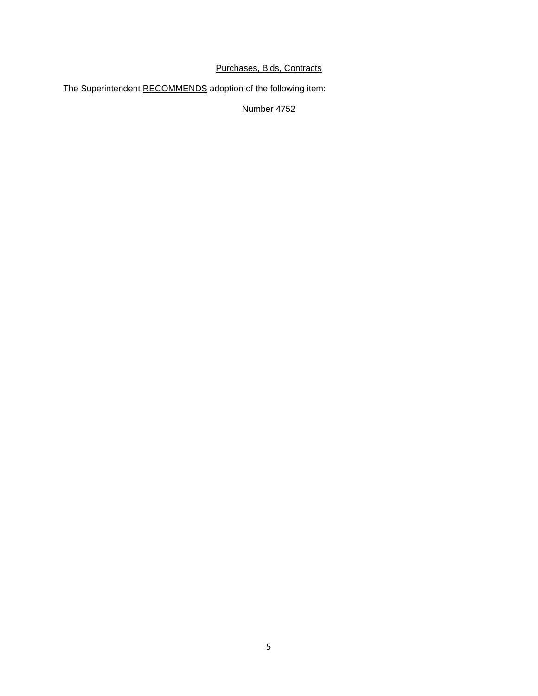## Purchases, Bids, Contracts

The Superintendent RECOMMENDS adoption of the following item:

Number 4752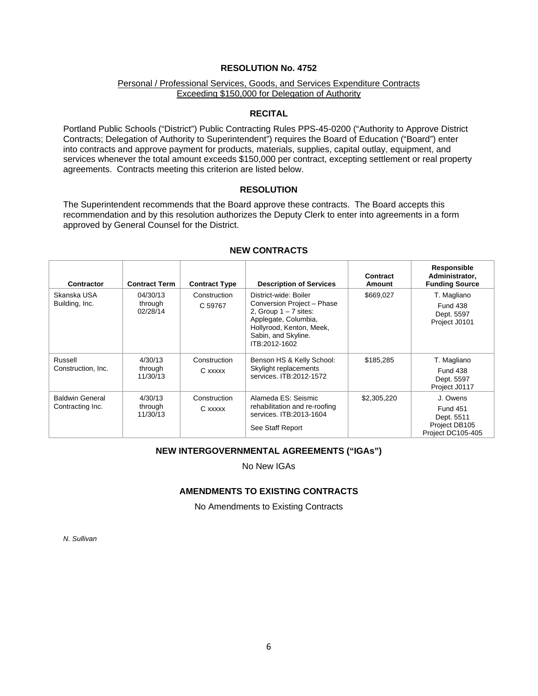## **RESOLUTION No. 4752**

## Personal / Professional Services, Goods, and Services Expenditure Contracts Exceeding \$150,000 for Delegation of Authority

#### **RECITAL**

Portland Public Schools ("District") Public Contracting Rules PPS-45-0200 ("Authority to Approve District Contracts; Delegation of Authority to Superintendent") requires the Board of Education ("Board") enter into contracts and approve payment for products, materials, supplies, capital outlay, equipment, and services whenever the total amount exceeds \$150,000 per contract, excepting settlement or real property agreements. Contracts meeting this criterion are listed below.

#### **RESOLUTION**

The Superintendent recommends that the Board approve these contracts. The Board accepts this recommendation and by this resolution authorizes the Deputy Clerk to enter into agreements in a form approved by General Counsel for the District.

| <b>Contractor</b>                          | <b>Contract Term</b>                                       | <b>Contract Type</b>    | <b>Description of Services</b>                                                                                                                                             | Contract<br>Amount | Responsible<br>Administrator,<br><b>Funding Source</b>                          |
|--------------------------------------------|------------------------------------------------------------|-------------------------|----------------------------------------------------------------------------------------------------------------------------------------------------------------------------|--------------------|---------------------------------------------------------------------------------|
| Skanska USA<br>Building, Inc.              | 04/30/13<br>Construction<br>through<br>C 59767<br>02/28/14 |                         | District-wide: Boiler<br>Conversion Project - Phase<br>2. Group $1 - 7$ sites:<br>Applegate, Columbia,<br>Hollyrood, Kenton, Meek,<br>Sabin, and Skyline.<br>ITB:2012-1602 | \$669,027          | T. Magliano<br><b>Fund 438</b><br>Dept. 5597<br>Project J0101                   |
| Russell<br>Construction, Inc.              | 4/30/13<br>through<br>11/30/13                             | Construction<br>C xxxxx | Benson HS & Kelly School:<br>Skylight replacements<br>services, ITB: 2012-1572                                                                                             | \$185,285          | T. Magliano<br><b>Fund 438</b><br>Dept. 5597<br>Project J0117                   |
| <b>Baldwin General</b><br>Contracting Inc. | 4/30/13<br>through<br>11/30/13                             | Construction<br>C xxxxx | Alameda ES: Seismic<br>rehabilitation and re-roofing<br>services. ITB:2013-1604<br>See Staff Report                                                                        | \$2,305,220        | J. Owens<br><b>Fund 451</b><br>Dept. 5511<br>Project DB105<br>Project DC105-405 |

## **NEW CONTRACTS**

## **NEW INTERGOVERNMENTAL AGREEMENTS ("IGAs")**

No New IGAs

## **AMENDMENTS TO EXISTING CONTRACTS**

No Amendments to Existing Contracts

*N. Sullivan*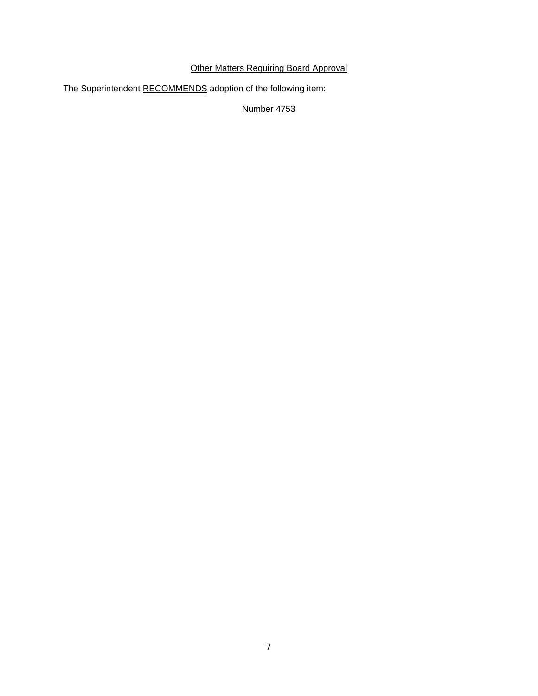## Other Matters Requiring Board Approval

The Superintendent RECOMMENDS adoption of the following item:

Number 4753